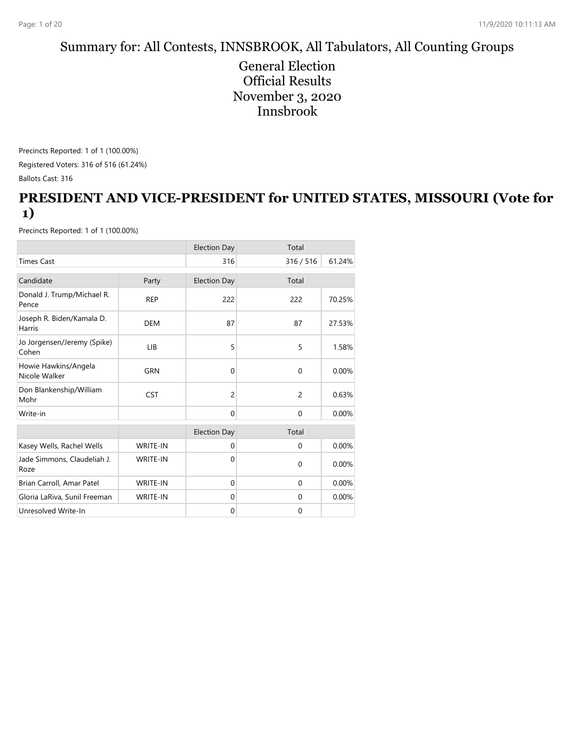#### Summary for: All Contests, INNSBROOK, All Tabulators, All Counting Groups

General Election Official Results November 3, 2020 Innsbrook

Precincts Reported: 1 of 1 (100.00%) Registered Voters: 316 of 516 (61.24%) Ballots Cast: 316

#### **PRESIDENT AND VICE-PRESIDENT for UNITED STATES, MISSOURI (Vote for 1)**

|                                       |                 | <b>Election Day</b> | Total          |        |
|---------------------------------------|-----------------|---------------------|----------------|--------|
| <b>Times Cast</b>                     |                 | 316                 | 316 / 516      | 61.24% |
| Candidate                             | Party           | <b>Election Day</b> | Total          |        |
| Donald J. Trump/Michael R.<br>Pence   | <b>REP</b>      | 222                 | 222            | 70.25% |
| Joseph R. Biden/Kamala D.<br>Harris   | <b>DEM</b>      | 87                  | 87             | 27.53% |
| Jo Jorgensen/Jeremy (Spike)<br>Cohen  | LIB             | 5                   | 5              | 1.58%  |
| Howie Hawkins/Angela<br>Nicole Walker | <b>GRN</b>      | $\mathbf 0$         | $\mathbf{0}$   | 0.00%  |
| Don Blankenship/William<br>Mohr       | <b>CST</b>      | 2                   | $\overline{2}$ | 0.63%  |
| Write-in                              |                 | $\Omega$            | $\Omega$       | 0.00%  |
|                                       |                 | <b>Election Day</b> | Total          |        |
| Kasey Wells, Rachel Wells             | WRITE-IN        | $\mathbf{0}$        | $\mathbf{0}$   | 0.00%  |
| Jade Simmons, Claudeliah J.<br>Roze   | <b>WRITE-IN</b> | $\Omega$            | $\mathbf{0}$   | 0.00%  |
| Brian Carroll, Amar Patel             | WRITE-IN        | $\mathbf{0}$        | $\mathbf{0}$   | 0.00%  |
| Gloria LaRiva, Sunil Freeman          | WRITE-IN        | $\Omega$            | $\mathbf{0}$   | 0.00%  |
| Unresolved Write-In                   |                 | $\mathbf 0$         | $\mathbf{0}$   |        |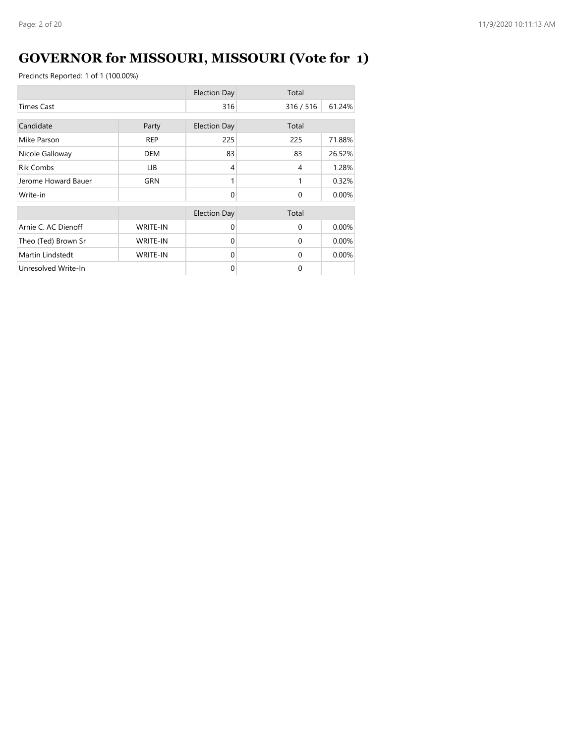# **GOVERNOR for MISSOURI, MISSOURI (Vote for 1)**

|                     |                 | <b>Election Day</b> | Total          |        |
|---------------------|-----------------|---------------------|----------------|--------|
| <b>Times Cast</b>   |                 | 316                 | 316/516        | 61.24% |
| Candidate           | Party           | <b>Election Day</b> | Total          |        |
| Mike Parson         | <b>REP</b>      | 225                 | 225            | 71.88% |
| Nicole Galloway     | DEM             | 83                  | 83             | 26.52% |
| <b>Rik Combs</b>    | LIB.            | 4                   | $\overline{4}$ | 1.28%  |
| Jerome Howard Bauer | GRN             |                     | 1              | 0.32%  |
| Write-in            |                 | $\Omega$            | $\Omega$       | 0.00%  |
|                     |                 | <b>Election Day</b> | Total          |        |
| Arnie C. AC Dienoff | <b>WRITE-IN</b> | $\Omega$            | $\Omega$       | 0.00%  |
| Theo (Ted) Brown Sr | <b>WRITE-IN</b> | $\Omega$            | $\Omega$       | 0.00%  |
| Martin Lindstedt    | <b>WRITE-IN</b> | $\Omega$            | $\Omega$       | 0.00%  |
| Unresolved Write-In |                 | $\Omega$            | $\Omega$       |        |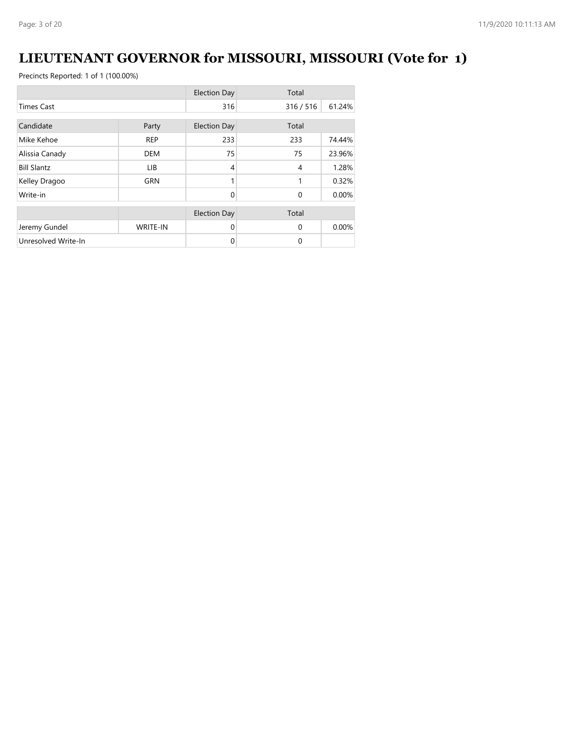# **LIEUTENANT GOVERNOR for MISSOURI, MISSOURI (Vote for 1)**

|                     |                 | <b>Election Day</b> | Total     |        |
|---------------------|-----------------|---------------------|-----------|--------|
| <b>Times Cast</b>   |                 | 316                 | 316 / 516 | 61.24% |
| Candidate           |                 |                     | Total     |        |
|                     | Party           | <b>Election Day</b> |           |        |
| Mike Kehoe          | <b>REP</b>      | 233                 | 233       | 74.44% |
| Alissia Canady      | <b>DEM</b>      | 75                  | 75        | 23.96% |
| <b>Bill Slantz</b>  | LIB.            | 4                   | 4         | 1.28%  |
| Kelley Dragoo       | <b>GRN</b>      |                     | 1         | 0.32%  |
| Write-in            |                 | $\Omega$            | $\Omega$  | 0.00%  |
|                     |                 | <b>Election Day</b> | Total     |        |
|                     |                 |                     |           |        |
| Jeremy Gundel       | <b>WRITE-IN</b> | $\Omega$            | $\Omega$  | 0.00%  |
| Unresolved Write-In |                 | 0                   | 0         |        |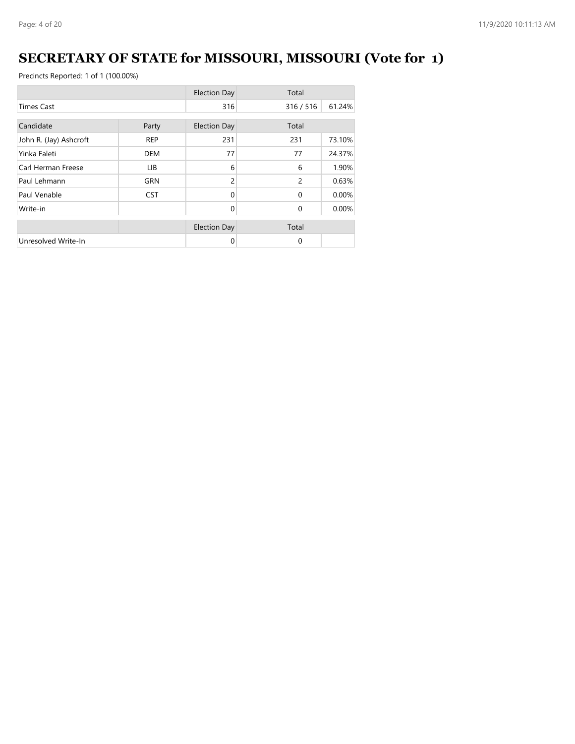# **SECRETARY OF STATE for MISSOURI, MISSOURI (Vote for 1)**

|                        |            | <b>Election Day</b> | Total          |        |
|------------------------|------------|---------------------|----------------|--------|
| <b>Times Cast</b>      |            | 316                 | 316 / 516      | 61.24% |
| Candidate              | Party      | <b>Election Day</b> | Total          |        |
| John R. (Jay) Ashcroft | <b>REP</b> | 231                 | 231            | 73.10% |
| Yinka Faleti           | <b>DEM</b> | 77                  | 77             | 24.37% |
| Carl Herman Freese     | LIB        | 6                   | 6              | 1.90%  |
| Paul Lehmann           | <b>GRN</b> | 2                   | $\overline{c}$ | 0.63%  |
| Paul Venable           | <b>CST</b> | $\Omega$            | $\Omega$       | 0.00%  |
| Write-in               |            | $\Omega$            | $\Omega$       | 0.00%  |
|                        |            | <b>Election Day</b> | Total          |        |
| Unresolved Write-In    |            | 0                   | $\Omega$       |        |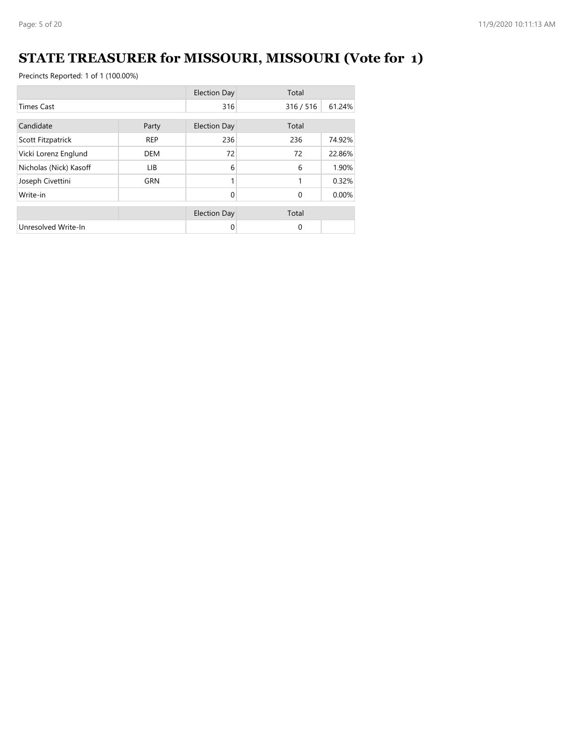# **STATE TREASURER for MISSOURI, MISSOURI (Vote for 1)**

|                        |            | <b>Election Day</b> | Total        |          |
|------------------------|------------|---------------------|--------------|----------|
| <b>Times Cast</b>      |            | 316                 | 316 / 516    | 61.24%   |
| Candidate<br>Party     |            | <b>Election Day</b> | Total        |          |
| Scott Fitzpatrick      | <b>REP</b> | 236                 | 236          | 74.92%   |
| Vicki Lorenz Englund   | <b>DEM</b> | 72                  | 72           | 22.86%   |
| Nicholas (Nick) Kasoff | LIB.       | 6                   | 6            | 1.90%    |
| Joseph Civettini       | <b>GRN</b> |                     | 1            | 0.32%    |
| Write-in               |            | $\Omega$            | $\Omega$     | $0.00\%$ |
|                        |            | <b>Election Day</b> | Total        |          |
| Unresolved Write-In    |            | 0                   | $\mathbf{0}$ |          |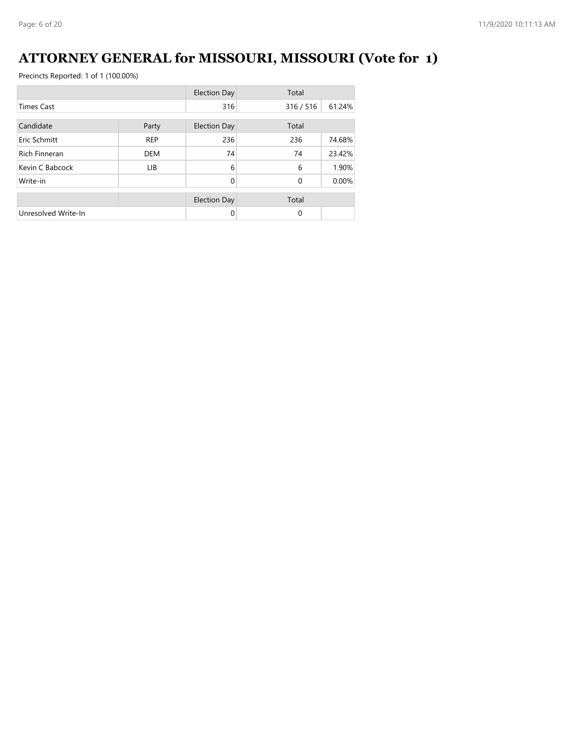# **ATTORNEY GENERAL for MISSOURI, MISSOURI (Vote for 1)**

|                      |            | <b>Election Day</b> | Total        |        |
|----------------------|------------|---------------------|--------------|--------|
| <b>Times Cast</b>    |            | 316                 | 316 / 516    | 61.24% |
| Candidate<br>Party   |            | <b>Election Day</b> | Total        |        |
| Eric Schmitt         | <b>REP</b> | 236                 | 236          | 74.68% |
| <b>Rich Finneran</b> | <b>DEM</b> | 74                  | 74           | 23.42% |
| Kevin C Babcock      | LIB.       | 6                   | 6            | 1.90%  |
| Write-in             |            | $\Omega$            | $\mathbf{0}$ | 0.00%  |
|                      |            | <b>Election Day</b> | Total        |        |
| Unresolved Write-In  |            | $\Omega$            | $\Omega$     |        |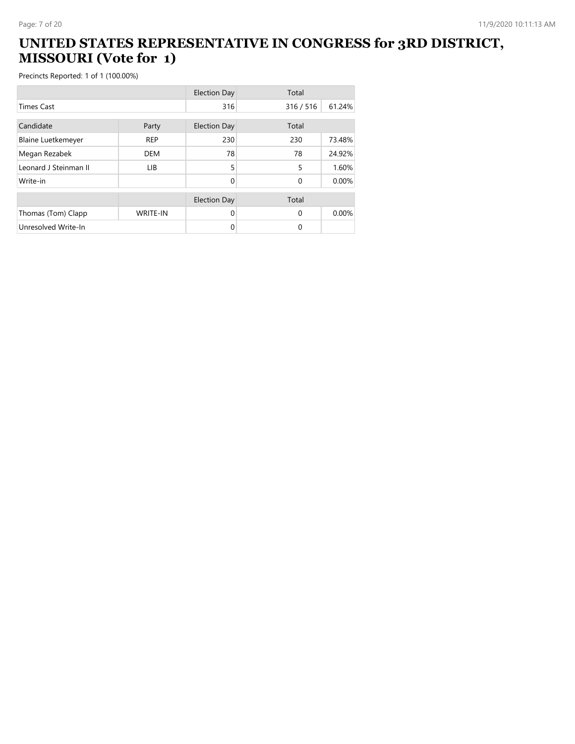#### **UNITED STATES REPRESENTATIVE IN CONGRESS for 3RD DISTRICT, MISSOURI (Vote for 1)**

|                           |                 | <b>Election Day</b> | Total    |        |
|---------------------------|-----------------|---------------------|----------|--------|
| <b>Times Cast</b>         |                 | 316                 | 316/516  | 61.24% |
| Candidate                 | Party           | <b>Election Day</b> | Total    |        |
| <b>Blaine Luetkemeyer</b> | <b>REP</b>      | 230                 | 230      | 73.48% |
| Megan Rezabek             | <b>DEM</b>      | 78                  | 78       | 24.92% |
| Leonard J Steinman II     | <b>LIB</b>      | 5                   | 5        | 1.60%  |
| Write-in                  |                 | 0                   | $\Omega$ | 0.00%  |
|                           |                 | <b>Election Day</b> | Total    |        |
| Thomas (Tom) Clapp        | <b>WRITE-IN</b> | 0                   | $\Omega$ | 0.00%  |
| Unresolved Write-In       |                 | 0                   | $\Omega$ |        |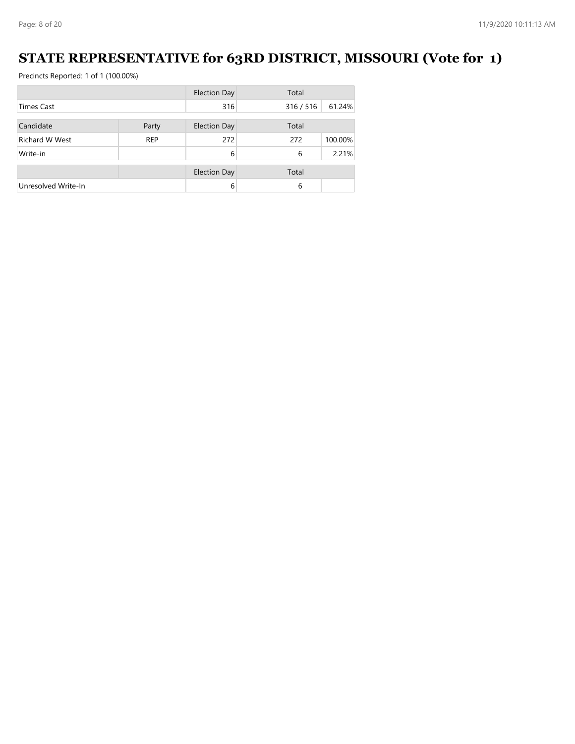### **STATE REPRESENTATIVE for 63RD DISTRICT, MISSOURI (Vote for 1)**

|                       |            | <b>Election Day</b> | Total   |         |
|-----------------------|------------|---------------------|---------|---------|
| <b>Times Cast</b>     |            | 316                 | 316/516 | 61.24%  |
| Candidate             | Party      | <b>Election Day</b> | Total   |         |
|                       |            |                     |         |         |
| <b>Richard W West</b> | <b>REP</b> | 272                 | 272     | 100.00% |
| Write-in              |            | 6                   | 6       | 2.21%   |
|                       |            | <b>Election Day</b> | Total   |         |
| Unresolved Write-In   |            | 6                   | 6       |         |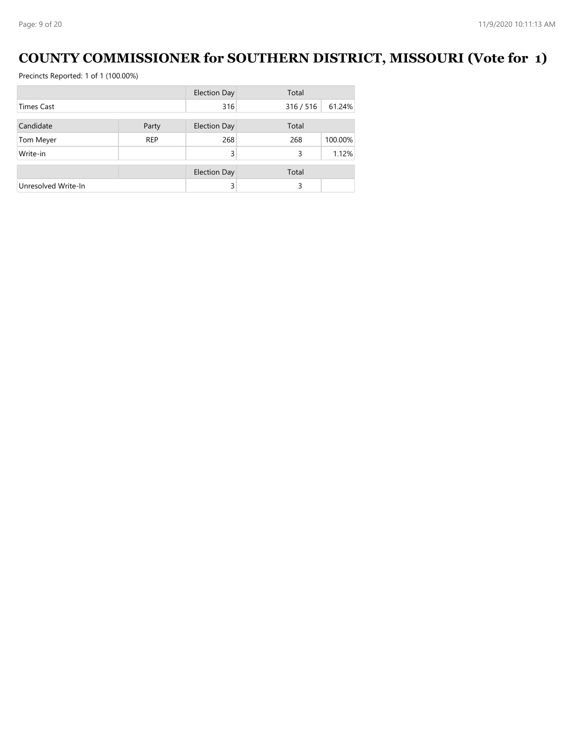### **COUNTY COMMISSIONER for SOUTHERN DISTRICT, MISSOURI (Vote for 1)**

|                     |            | <b>Election Day</b> | Total     |         |
|---------------------|------------|---------------------|-----------|---------|
| <b>Times Cast</b>   |            | 316                 | 316 / 516 | 61.24%  |
|                     |            |                     |           |         |
| Candidate           | Party      | <b>Election Day</b> | Total     |         |
| Tom Meyer           | <b>REP</b> | 268                 | 268       | 100.00% |
| Write-in            |            | 3                   | 3         | 1.12%   |
|                     |            | <b>Election Day</b> | Total     |         |
|                     |            |                     |           |         |
| Unresolved Write-In |            | 3                   | 3         |         |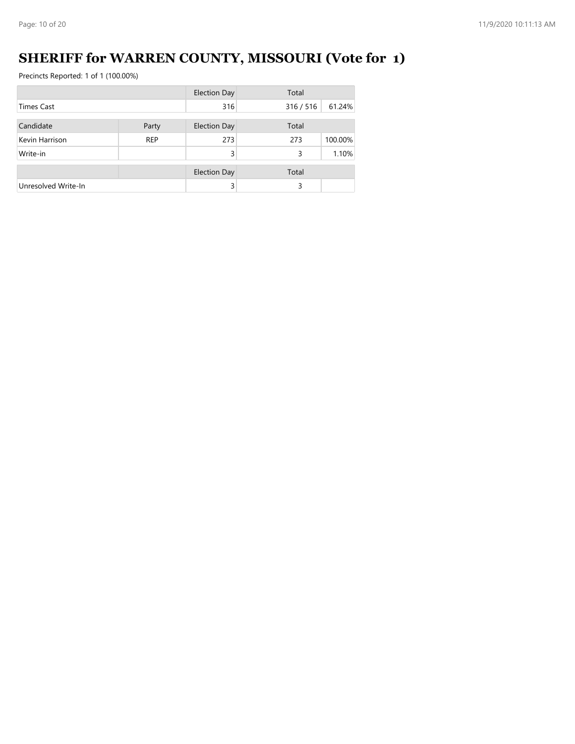# **SHERIFF for WARREN COUNTY, MISSOURI (Vote for 1)**

|                     |            | <b>Election Day</b> | Total   |         |
|---------------------|------------|---------------------|---------|---------|
| <b>Times Cast</b>   |            | 316                 | 316/516 | 61.24%  |
| Candidate           |            |                     | Total   |         |
|                     | Party      | <b>Election Day</b> |         |         |
| Kevin Harrison      | <b>REP</b> | 273                 | 273     | 100.00% |
| Write-in            |            | 3                   | 3       | 1.10%   |
|                     |            |                     |         |         |
|                     |            | <b>Election Day</b> | Total   |         |
| Unresolved Write-In |            | 3                   | 3       |         |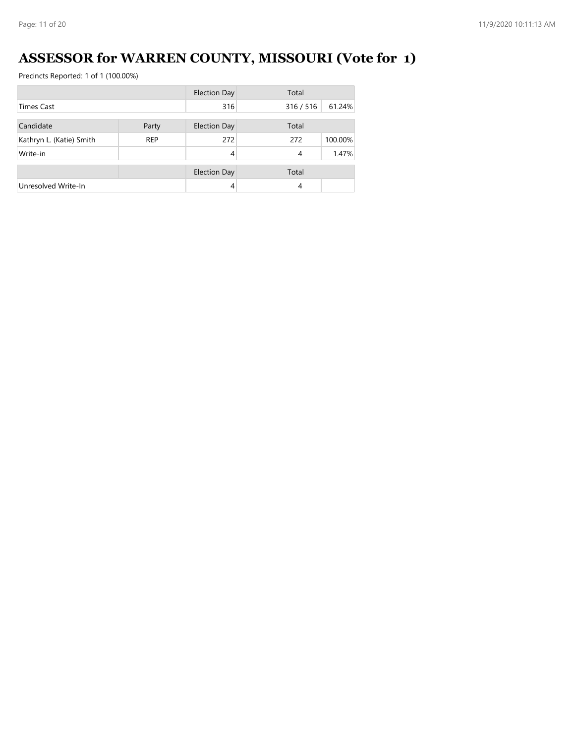# **ASSESSOR for WARREN COUNTY, MISSOURI (Vote for 1)**

|                          |            | <b>Election Day</b> | Total   |         |
|--------------------------|------------|---------------------|---------|---------|
| <b>Times Cast</b>        |            | 316                 | 316/516 | 61.24%  |
| Candidate                |            |                     | Total   |         |
|                          | Party      | <b>Election Day</b> |         |         |
| Kathryn L. (Katie) Smith | <b>REP</b> | 272                 | 272     | 100.00% |
| Write-in                 |            | 4                   | 4       | 1.47%   |
|                          |            | <b>Election Day</b> | Total   |         |
| Unresolved Write-In      |            | $\overline{4}$      | 4       |         |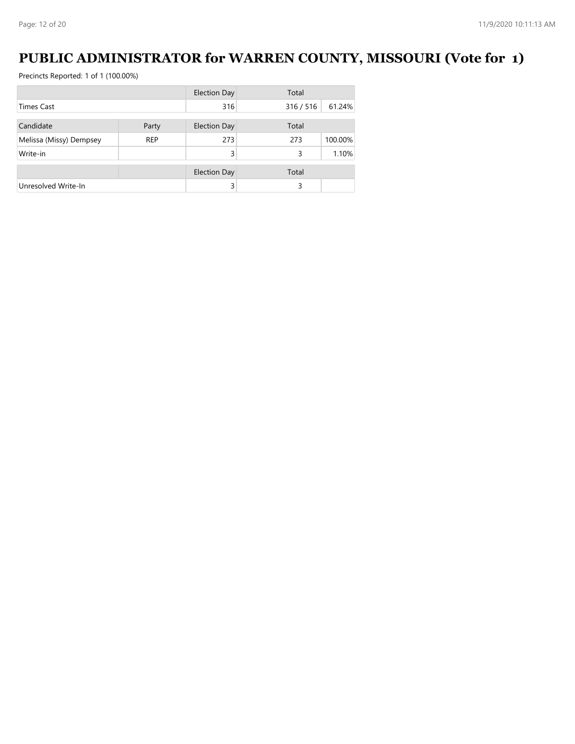### **PUBLIC ADMINISTRATOR for WARREN COUNTY, MISSOURI (Vote for 1)**

|                         |            | <b>Election Day</b> | Total   |         |
|-------------------------|------------|---------------------|---------|---------|
| <b>Times Cast</b>       |            | 316                 | 316/516 | 61.24%  |
|                         |            |                     |         |         |
| Candidate               | Party      | <b>Election Day</b> | Total   |         |
| Melissa (Missy) Dempsey | <b>REP</b> | 273                 | 273     | 100.00% |
| Write-in                |            | 3                   | 3       | 1.10%   |
|                         |            | <b>Election Day</b> | Total   |         |
| Unresolved Write-In     |            | 3                   | 3       |         |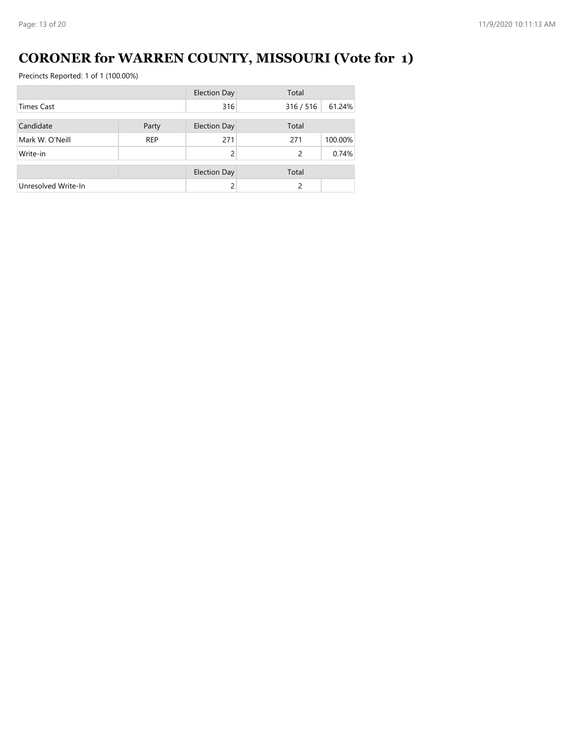# **CORONER for WARREN COUNTY, MISSOURI (Vote for 1)**

|                     |            | <b>Election Day</b> | Total   |         |
|---------------------|------------|---------------------|---------|---------|
| <b>Times Cast</b>   |            | 316                 | 316/516 | 61.24%  |
|                     |            |                     |         |         |
| Candidate           | Party      | <b>Election Day</b> | Total   |         |
| Mark W. O'Neill     | <b>REP</b> | 271                 | 271     | 100.00% |
| Write-in            |            | 2                   | 2       | 0.74%   |
|                     |            | <b>Election Day</b> | Total   |         |
| Unresolved Write-In |            |                     | 2       |         |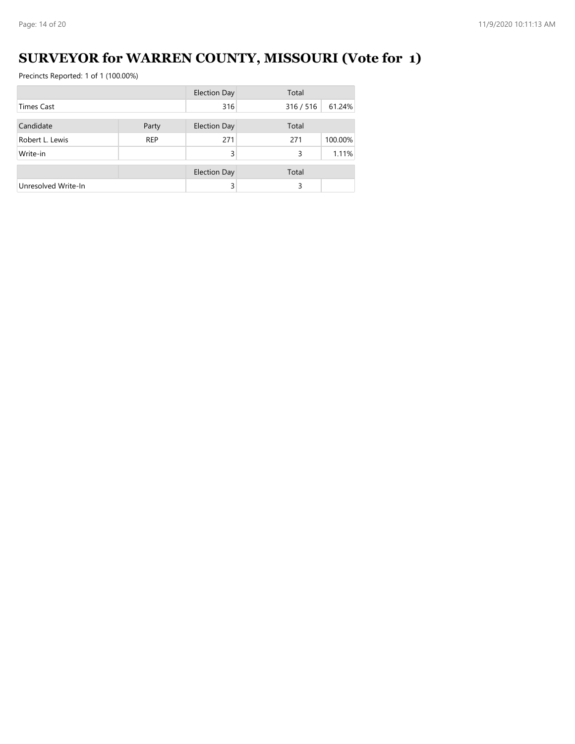# **SURVEYOR for WARREN COUNTY, MISSOURI (Vote for 1)**

|                     |            | <b>Election Day</b> | Total   |         |
|---------------------|------------|---------------------|---------|---------|
| <b>Times Cast</b>   |            | 316                 | 316/516 | 61.24%  |
| Candidate           | Party      | Election Day        | Total   |         |
| Robert L. Lewis     | <b>REP</b> | 271                 | 271     | 100.00% |
|                     |            |                     |         |         |
| Write-in            |            | 3                   | 3       | 1.11%   |
|                     |            | <b>Election Day</b> | Total   |         |
| Unresolved Write-In |            | 3                   | 3       |         |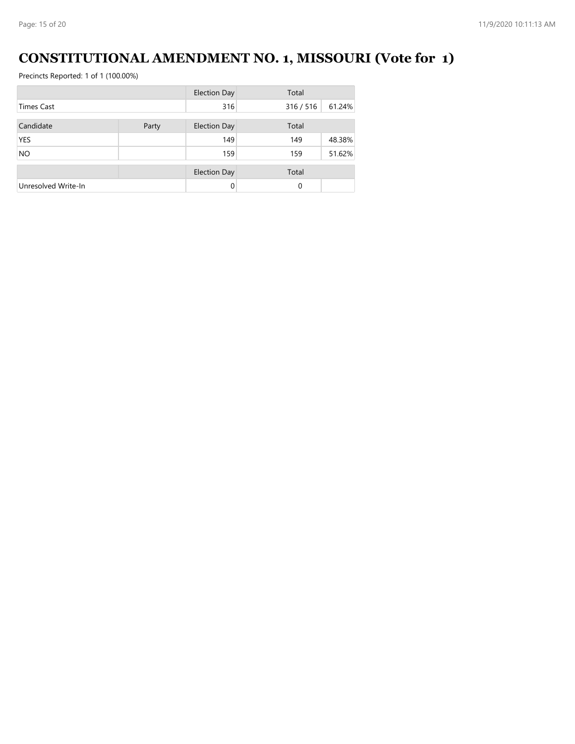### **CONSTITUTIONAL AMENDMENT NO. 1, MISSOURI (Vote for 1)**

|                     |       | <b>Election Day</b> | Total     |        |
|---------------------|-------|---------------------|-----------|--------|
| <b>Times Cast</b>   |       | 316                 | 316 / 516 | 61.24% |
|                     |       |                     |           |        |
| Candidate           | Party | <b>Election Day</b> | Total     |        |
| <b>YES</b>          |       | 149                 | 149       | 48.38% |
| <b>NO</b>           |       | 159                 | 159       | 51.62% |
|                     |       | <b>Election Day</b> | Total     |        |
| Unresolved Write-In |       | 0                   | $\Omega$  |        |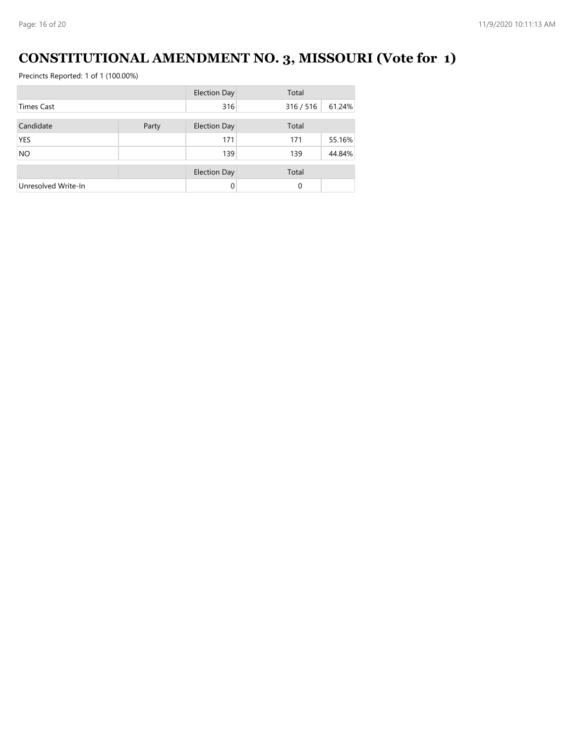# **CONSTITUTIONAL AMENDMENT NO. 3, MISSOURI (Vote for 1)**

|                     |       | <b>Election Day</b> | Total     |        |
|---------------------|-------|---------------------|-----------|--------|
| <b>Times Cast</b>   |       | 316                 | 316 / 516 | 61.24% |
| Candidate           | Party | <b>Election Day</b> | Total     |        |
| <b>YES</b>          |       | 171                 | 171       | 55.16% |
| <b>NO</b>           |       | 139                 | 139       | 44.84% |
|                     |       | <b>Election Day</b> | Total     |        |
| Unresolved Write-In |       | $\Omega$            | $\Omega$  |        |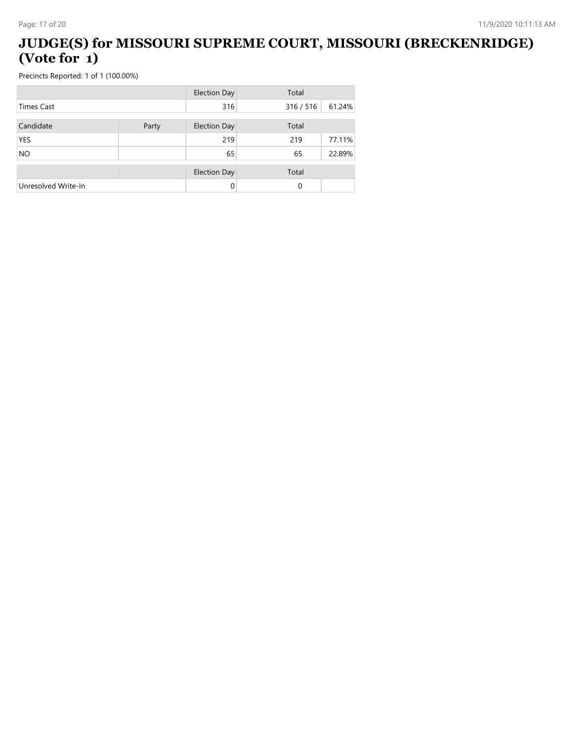#### **JUDGE(S) for MISSOURI SUPREME COURT, MISSOURI (BRECKENRIDGE) (Vote for 1)**

|                     |       | <b>Election Day</b> | Total     |        |
|---------------------|-------|---------------------|-----------|--------|
| <b>Times Cast</b>   |       | 316                 | 316 / 516 | 61.24% |
| Candidate           | Party | <b>Election Day</b> | Total     |        |
| <b>YES</b>          |       | 219                 | 219       | 77.11% |
| <b>NO</b>           |       | 65                  | 65        | 22.89% |
|                     |       | <b>Election Day</b> | Total     |        |
| Unresolved Write-In |       | 0                   | 0         |        |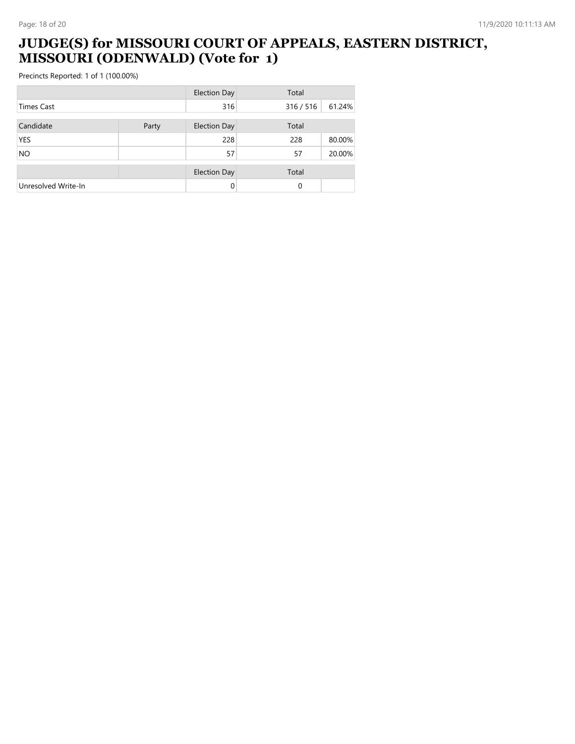#### **JUDGE(S) for MISSOURI COURT OF APPEALS, EASTERN DISTRICT, MISSOURI (ODENWALD) (Vote for 1)**

|                     |       | <b>Election Day</b> | Total     |        |
|---------------------|-------|---------------------|-----------|--------|
| <b>Times Cast</b>   |       | 316                 | 316 / 516 | 61.24% |
| Candidate           | Party | <b>Election Day</b> | Total     |        |
| <b>YES</b>          |       | 228                 | 228       | 80.00% |
| <b>NO</b>           |       | 57                  | 57        | 20.00% |
|                     |       | <b>Election Day</b> | Total     |        |
| Unresolved Write-In |       | $\Omega$            | 0         |        |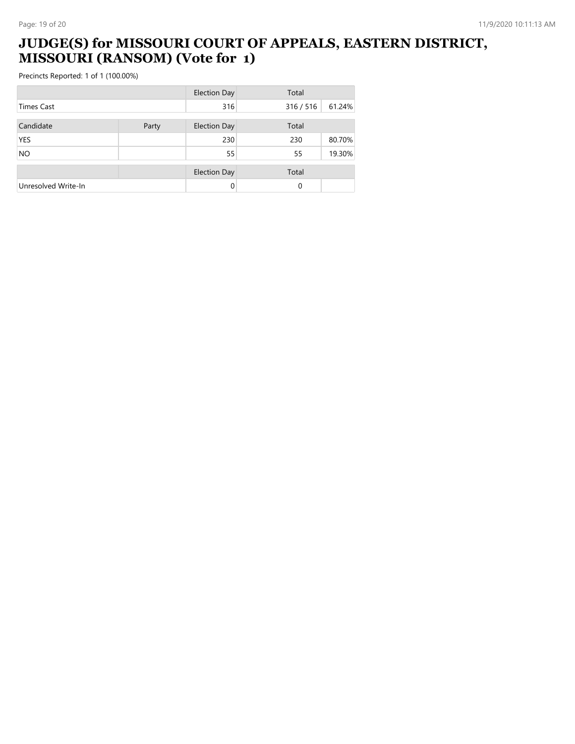#### **JUDGE(S) for MISSOURI COURT OF APPEALS, EASTERN DISTRICT, MISSOURI (RANSOM) (Vote for 1)**

|                     |       | <b>Election Day</b> | Total     |        |
|---------------------|-------|---------------------|-----------|--------|
| <b>Times Cast</b>   |       | 316                 | 316 / 516 | 61.24% |
| Candidate           | Party | <b>Election Day</b> | Total     |        |
| <b>YES</b>          |       | 230                 | 230       | 80.70% |
| <b>NO</b>           |       | 55                  | 55        | 19.30% |
|                     |       | <b>Election Day</b> | Total     |        |
| Unresolved Write-In |       | $\Omega$            | 0         |        |